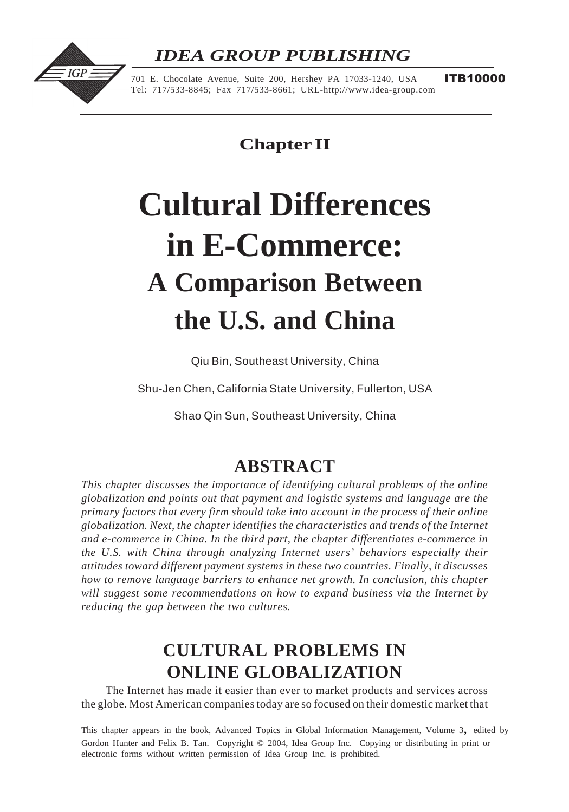# *IDEA GROUP PUBLISHING*



701 E. Chocolate Avenue, Suite 200, Hershey PA 17033-1240, USA Tel: 717/533-8845; Fax 717/533-8661; URL-http://www.idea-group.com

**ITB10000** 

**Chapter II**

# **Cultural Differences in E-Commerce: A Comparison Between the U.S. and China**

Qiu Bin, Southeast University, China

Shu-Jen Chen, California State University, Fullerton, USA

Shao Qin Sun, Southeast University, China

## **ABSTRACT**

*This chapter discusses the importance of identifying cultural problems of the online globalization and points out that payment and logistic systems and language are the primary factors that every firm should take into account in the process of their online globalization. Next, the chapter identifies the characteristics and trends of the Internet and e-commerce in China. In the third part, the chapter differentiates e-commerce in the U.S. with China through analyzing Internet users' behaviors especially their attitudes toward different payment systems in these two countries. Finally, it discusses how to remove language barriers to enhance net growth. In conclusion, this chapter will suggest some recommendations on how to expand business via the Internet by reducing the gap between the two cultures.*

# **CULTURAL PROBLEMS IN ONLINE GLOBALIZATION**

The Internet has made it easier than ever to market products and services across the globe. Most American companies today are so focused on their domestic market that

Gordon Hunter and Felix B. Tan. Copyright © 2004, Idea Group Inc. Copying or distributing in print or electronic forms without written permission of Idea Group Inc. is prohibited. This chapter appears in the book, Advanced Topics in Global Information Management, Volume 3, edited by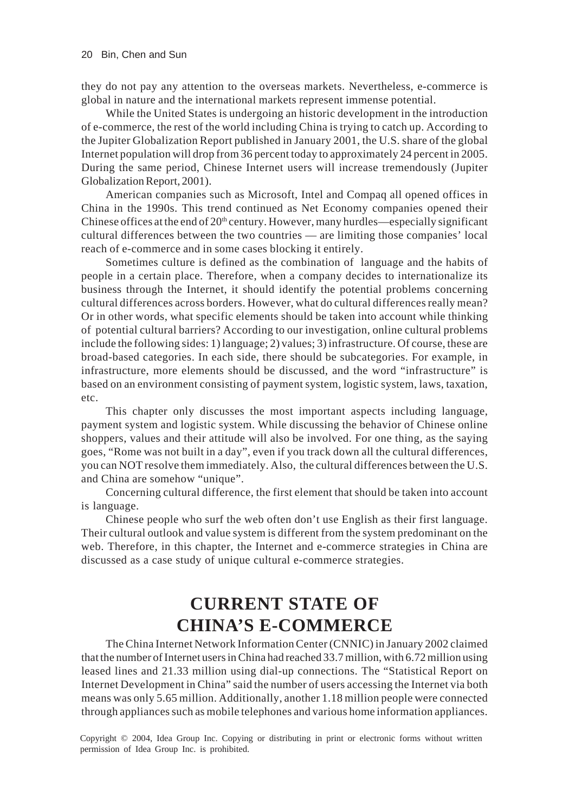they do not pay any attention to the overseas markets. Nevertheless, e-commerce is global in nature and the international markets represent immense potential.

While the United States is undergoing an historic development in the introduction of e-commerce, the rest of the world including China is trying to catch up. According to the Jupiter Globalization Report published in January 2001, the U.S. share of the global Internet population will drop from 36 percent today to approximately 24 percent in 2005. During the same period, Chinese Internet users will increase tremendously (Jupiter Globalization Report, 2001).

American companies such as Microsoft, Intel and Compaq all opened offices in China in the 1990s. This trend continued as Net Economy companies opened their Chinese offices at the end of  $20<sup>th</sup>$  century. However, many hurdles—especially significant cultural differences between the two countries — are limiting those companies' local reach of e-commerce and in some cases blocking it entirely.

Sometimes culture is defined as the combination of language and the habits of people in a certain place. Therefore, when a company decides to internationalize its business through the Internet, it should identify the potential problems concerning cultural differences across borders. However, what do cultural differences really mean? Or in other words, what specific elements should be taken into account while thinking of potential cultural barriers? According to our investigation, online cultural problems include the following sides: 1) language; 2) values; 3) infrastructure. Of course, these are broad-based categories. In each side, there should be subcategories. For example, in infrastructure, more elements should be discussed, and the word "infrastructure" is based on an environment consisting of payment system, logistic system, laws, taxation, etc.

This chapter only discusses the most important aspects including language, payment system and logistic system. While discussing the behavior of Chinese online shoppers, values and their attitude will also be involved. For one thing, as the saying goes, "Rome was not built in a day", even if you track down all the cultural differences, you can NOT resolve them immediately. Also, the cultural differences between the U.S. and China are somehow "unique".

Concerning cultural difference, the first element that should be taken into account is language.

Chinese people who surf the web often don't use English as their first language. Their cultural outlook and value system is different from the system predominant on the web. Therefore, in this chapter, the Internet and e-commerce strategies in China are discussed as a case study of unique cultural e-commerce strategies.

## **CURRENT STATE OF CHINA'S E-COMMERCE**

The China Internet Network Information Center (CNNIC) in January 2002 claimed that the number of Internet users in China had reached 33.7 million, with 6.72 million using leased lines and 21.33 million using dial-up connections. The "Statistical Report on Internet Development in China" said the number of users accessing the Internet via both means was only 5.65 million. Additionally, another 1.18 million people were connected through appliances such as mobile telephones and various home information appliances.

Copyright © 2004, Idea Group Inc. Copying or distributing in print or electronic forms without written permission of Idea Group Inc. is prohibited.